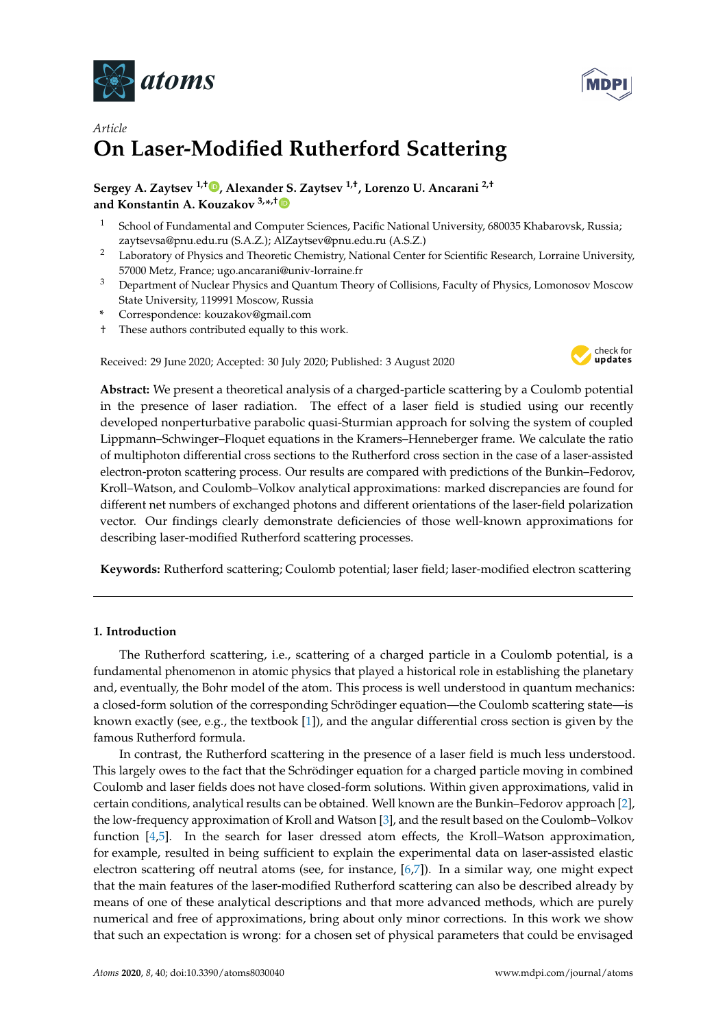



# *Article* **On Laser-Modified Rutherford Scattering**

## **Sergey A. Zaytsev 1,† [,](https://orcid.org/0000-0003-3771-3541) Alexander S. Zaytsev 1,†, Lorenzo U. Ancarani 2,† and Konstantin A. Kouzakov 3,\* ,[†](https://orcid.org/0000-0002-4835-2270)**

- <sup>1</sup> School of Fundamental and Computer Sciences, Pacific National University, 680035 Khabarovsk, Russia; zaytsevsa@pnu.edu.ru (S.A.Z.); AlZaytsev@pnu.edu.ru (A.S.Z.)
- <sup>2</sup> Laboratory of Physics and Theoretic Chemistry, National Center for Scientific Research, Lorraine University, 57000 Metz, France; ugo.ancarani@univ-lorraine.fr
- <sup>3</sup> Department of Nuclear Physics and Quantum Theory of Collisions, Faculty of Physics, Lomonosov Moscow State University, 119991 Moscow, Russia
- **\*** Correspondence: kouzakov@gmail.com
- † These authors contributed equally to this work.

Received: 29 June 2020; Accepted: 30 July 2020; Published: 3 August 2020



**Abstract:** We present a theoretical analysis of a charged-particle scattering by a Coulomb potential in the presence of laser radiation. The effect of a laser field is studied using our recently developed nonperturbative parabolic quasi-Sturmian approach for solving the system of coupled Lippmann–Schwinger–Floquet equations in the Kramers–Henneberger frame. We calculate the ratio of multiphoton differential cross sections to the Rutherford cross section in the case of a laser-assisted electron-proton scattering process. Our results are compared with predictions of the Bunkin–Fedorov, Kroll–Watson, and Coulomb–Volkov analytical approximations: marked discrepancies are found for different net numbers of exchanged photons and different orientations of the laser-field polarization vector. Our findings clearly demonstrate deficiencies of those well-known approximations for describing laser-modified Rutherford scattering processes.

**Keywords:** Rutherford scattering; Coulomb potential; laser field; laser-modified electron scattering

## **1. Introduction**

The Rutherford scattering, i.e., scattering of a charged particle in a Coulomb potential, is a fundamental phenomenon in atomic physics that played a historical role in establishing the planetary and, eventually, the Bohr model of the atom. This process is well understood in quantum mechanics: a closed-form solution of the corresponding Schrödinger equation—the Coulomb scattering state—is known exactly (see, e.g., the textbook [\[1\]](#page-8-0)), and the angular differential cross section is given by the famous Rutherford formula.

In contrast, the Rutherford scattering in the presence of a laser field is much less understood. This largely owes to the fact that the Schrödinger equation for a charged particle moving in combined Coulomb and laser fields does not have closed-form solutions. Within given approximations, valid in certain conditions, analytical results can be obtained. Well known are the Bunkin–Fedorov approach [\[2\]](#page-8-1), the low-frequency approximation of Kroll and Watson [\[3\]](#page-8-2), and the result based on the Coulomb–Volkov function [\[4](#page-8-3)[,5\]](#page-8-4). In the search for laser dressed atom effects, the Kroll–Watson approximation, for example, resulted in being sufficient to explain the experimental data on laser-assisted elastic electron scattering off neutral atoms (see, for instance, [\[6,](#page-8-5)[7\]](#page-8-6)). In a similar way, one might expect that the main features of the laser-modified Rutherford scattering can also be described already by means of one of these analytical descriptions and that more advanced methods, which are purely numerical and free of approximations, bring about only minor corrections. In this work we show that such an expectation is wrong: for a chosen set of physical parameters that could be envisaged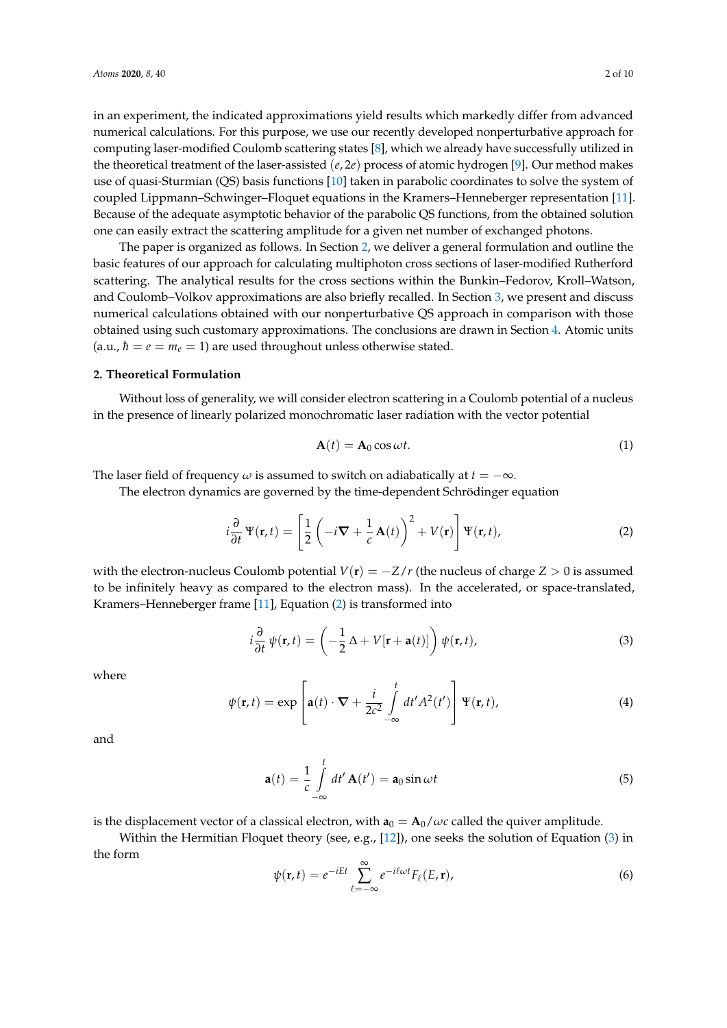in an experiment, the indicated approximations yield results which markedly differ from advanced numerical calculations. For this purpose, we use our recently developed nonperturbative approach for computing laser-modified Coulomb scattering states [\[8\]](#page-8-7), which we already have successfully utilized in the theoretical treatment of the laser-assisted (*e*, 2*e*) process of atomic hydrogen [\[9\]](#page-8-8). Our method makes use of quasi-Sturmian (QS) basis functions [\[10\]](#page-9-0) taken in parabolic coordinates to solve the system of coupled Lippmann–Schwinger–Floquet equations in the Kramers–Henneberger representation [\[11\]](#page-9-1). Because of the adequate asymptotic behavior of the parabolic QS functions, from the obtained solution one can easily extract the scattering amplitude for a given net number of exchanged photons.

The paper is organized as follows. In Section [2,](#page-1-0) we deliver a general formulation and outline the basic features of our approach for calculating multiphoton cross sections of laser-modified Rutherford scattering. The analytical results for the cross sections within the Bunkin–Fedorov, Kroll–Watson, and Coulomb–Volkov approximations are also briefly recalled. In Section [3,](#page-4-0) we present and discuss numerical calculations obtained with our nonperturbative QS approach in comparison with those obtained using such customary approximations. The conclusions are drawn in Section [4.](#page-7-0) Atomic units (a.u.,  $\hbar = e = m_e = 1$ ) are used throughout unless otherwise stated.

#### <span id="page-1-0"></span>**2. Theoretical Formulation**

Without loss of generality, we will consider electron scattering in a Coulomb potential of a nucleus in the presence of linearly polarized monochromatic laser radiation with the vector potential

$$
\mathbf{A}(t) = \mathbf{A}_0 \cos \omega t. \tag{1}
$$

The laser field of frequency  $\omega$  is assumed to switch on adiabatically at  $t = -\infty$ .

The electron dynamics are governed by the time-dependent Schrödinger equation

<span id="page-1-1"></span>
$$
i\frac{\partial}{\partial t}\Psi(\mathbf{r},t) = \left[\frac{1}{2}\left(-i\nabla + \frac{1}{c}\mathbf{A}(t)\right)^2 + V(\mathbf{r})\right]\Psi(\mathbf{r},t),\tag{2}
$$

with the electron-nucleus Coulomb potential  $V(\mathbf{r}) = -Z/r$  (the nucleus of charge  $Z > 0$  is assumed to be infinitely heavy as compared to the electron mass). In the accelerated, or space-translated, Kramers–Henneberger frame [\[11\]](#page-9-1), Equation [\(2\)](#page-1-1) is transformed into

<span id="page-1-2"></span>
$$
i\frac{\partial}{\partial t}\,\psi(\mathbf{r},t) = \left(-\frac{1}{2}\,\Delta + V[\mathbf{r}+\mathbf{a}(t)]\right)\psi(\mathbf{r},t),\tag{3}
$$

where

$$
\psi(\mathbf{r},t) = \exp\left[\mathbf{a}(t)\cdot\nabla + \frac{i}{2c^2} \int\limits_{-\infty}^t dt' A^2(t')\right] \Psi(\mathbf{r},t),\tag{4}
$$

and

$$
\mathbf{a}(t) = \frac{1}{c} \int_{-\infty}^{t} dt' \mathbf{A}(t') = \mathbf{a}_0 \sin \omega t
$$
 (5)

is the displacement vector of a classical electron, with  $\mathbf{a}_0 = \mathbf{A}_0/\omega c$  called the quiver amplitude.

Within the Hermitian Floquet theory (see, e.g., [\[12\]](#page-9-2)), one seeks the solution of Equation  $(3)$  in the form

$$
\psi(\mathbf{r},t) = e^{-iEt} \sum_{\ell=-\infty}^{\infty} e^{-i\ell\omega t} F_{\ell}(E,\mathbf{r}),
$$
\n(6)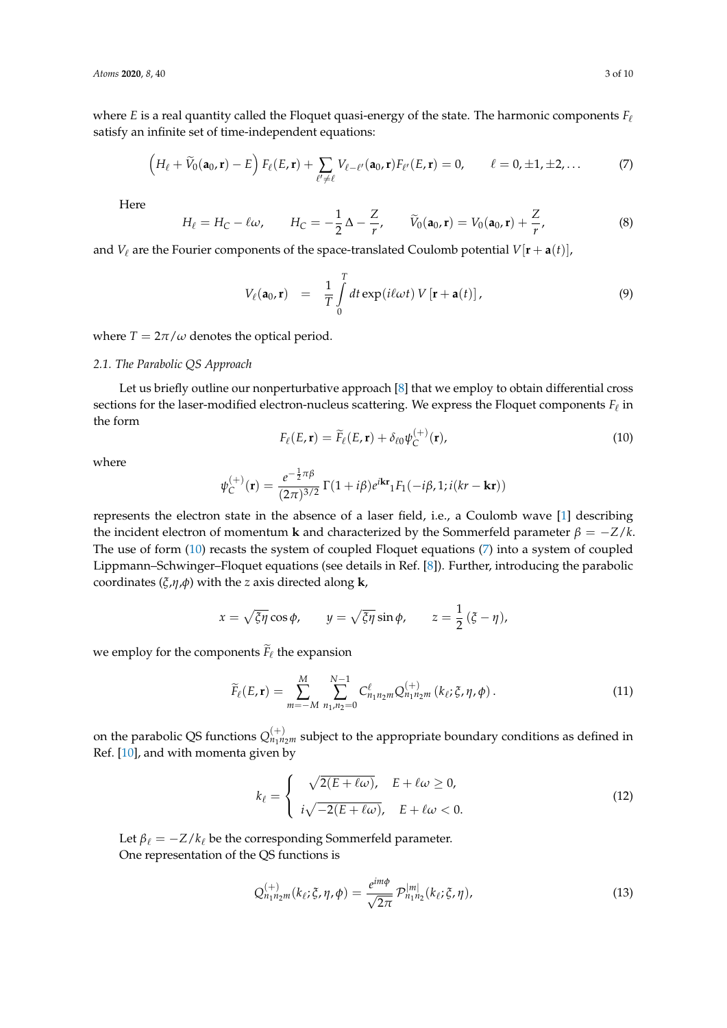where *E* is a real quantity called the Floquet quasi-energy of the state. The harmonic components  $F_\ell$ satisfy an infinite set of time-independent equations:

<span id="page-2-1"></span>
$$
\left(H_{\ell}+\widetilde{V}_0(\mathbf{a}_0,\mathbf{r})-E\right)F_{\ell}(E,\mathbf{r})+\sum_{\ell'\neq\ell}V_{\ell-\ell'}(\mathbf{a}_0,\mathbf{r})F_{\ell'}(E,\mathbf{r})=0,\qquad \ell=0,\pm 1,\pm 2,\ldots
$$
\n(7)

Here

$$
H_{\ell} = H_C - \ell \omega, \qquad H_C = -\frac{1}{2} \Delta - \frac{Z}{r}, \qquad \widetilde{V}_0(\mathbf{a}_0, \mathbf{r}) = V_0(\mathbf{a}_0, \mathbf{r}) + \frac{Z}{r}, \tag{8}
$$

and  $V_\ell$  are the Fourier components of the space-translated Coulomb potential  $V[\mathbf{r} + \mathbf{a}(t)]$ ,

$$
V_{\ell}(\mathbf{a}_0, \mathbf{r}) = \frac{1}{T} \int_{0}^{T} dt \exp(i\ell\omega t) V[\mathbf{r} + \mathbf{a}(t)], \qquad (9)
$$

where  $T = 2\pi/\omega$  denotes the optical period.

### *2.1. The Parabolic QS Approach*

Let us briefly outline our nonperturbative approach [\[8\]](#page-8-7) that we employ to obtain differential cross sections for the laser-modified electron-nucleus scattering. We express the Floquet components  $F_\ell$  in the form

<span id="page-2-0"></span>
$$
F_{\ell}(E,\mathbf{r}) = \widetilde{F}_{\ell}(E,\mathbf{r}) + \delta_{\ell 0} \psi_C^{(+)}(\mathbf{r}), \qquad (10)
$$

where

$$
\psi_C^{(+)}(\mathbf{r}) = \frac{e^{-\frac{1}{2}\pi\beta}}{(2\pi)^{3/2}} \Gamma(1+i\beta) e^{i\mathbf{k}\mathbf{r}} {}_1F_1(-i\beta, 1; i(kr - \mathbf{k}\mathbf{r}))
$$

represents the electron state in the absence of a laser field, i.e., a Coulomb wave [\[1\]](#page-8-0) describing the incident electron of momentum **k** and characterized by the Sommerfeld parameter  $\beta = -Z/k$ . The use of form [\(10\)](#page-2-0) recasts the system of coupled Floquet equations [\(7\)](#page-2-1) into a system of coupled Lippmann–Schwinger–Floquet equations (see details in Ref. [\[8\]](#page-8-7)). Further, introducing the parabolic coordinates (*ξ*,*η*,*φ*) with the *z* axis directed along **k**,

$$
x = \sqrt{\xi \eta} \cos \phi
$$
,  $y = \sqrt{\xi \eta} \sin \phi$ ,  $z = \frac{1}{2} (\xi - \eta)$ ,

we employ for the components  $F_{\ell}$  the expansion

<span id="page-2-2"></span>
$$
\widetilde{F}_{\ell}(E,\mathbf{r}) = \sum_{m=-M}^{M} \sum_{n_1,n_2=0}^{N-1} C_{n_1n_2m}^{\ell} Q_{n_1n_2m}^{(+)} (k_{\ell}; \xi, \eta, \phi).
$$
\n(11)

on the parabolic QS functions  $Q_{n_1n_2m}^{(+)}$  subject to the appropriate boundary conditions as defined in Ref. [\[10\]](#page-9-0), and with momenta given by

$$
k_{\ell} = \begin{cases} \sqrt{2(E + \ell \omega)}, & E + \ell \omega \ge 0, \\ i\sqrt{-2(E + \ell \omega)}, & E + \ell \omega < 0. \end{cases}
$$
(12)

Let  $\beta_{\ell} = -Z/k_{\ell}$  be the corresponding Sommerfeld parameter. One representation of the QS functions is

<span id="page-2-3"></span>
$$
Q_{n_1 n_2 m}^{(+)}(k_\ell; \xi, \eta, \phi) = \frac{e^{im\phi}}{\sqrt{2\pi}} \mathcal{P}_{n_1 n_2}^{|m|}(k_\ell; \xi, \eta), \qquad (13)
$$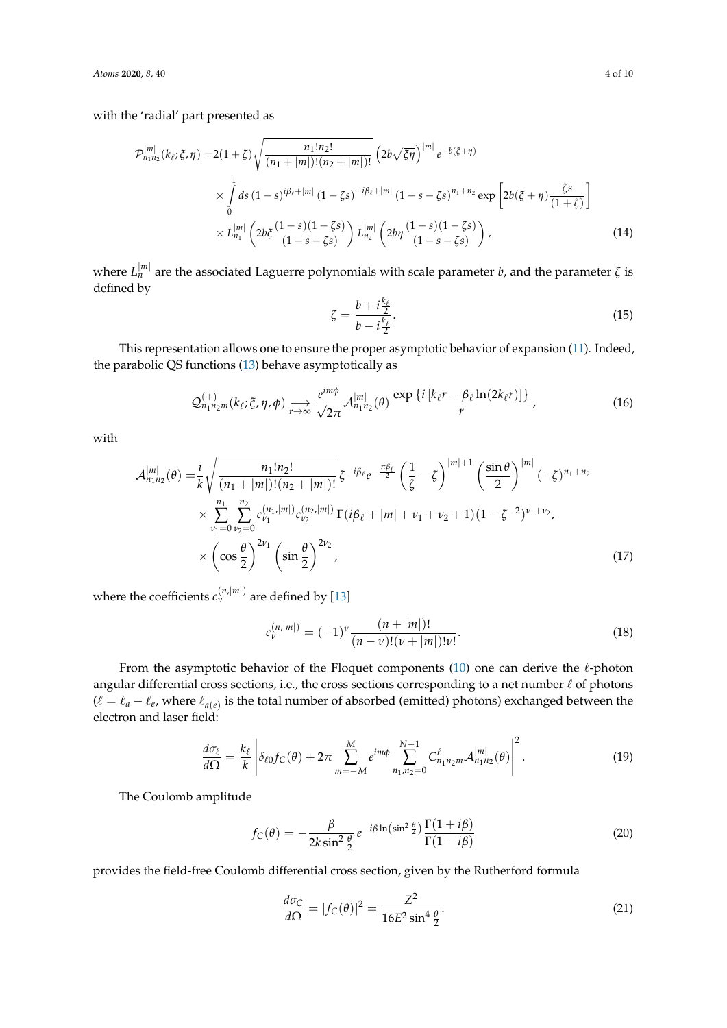with the 'radial' part presented as

$$
\mathcal{P}_{n_1 n_2}^{[m]}(k_{\ell}; \xi, \eta) = 2(1+\zeta)\sqrt{\frac{n_1! n_2!}{(n_1+|m|)!(n_2+|m|)!}} \left(2b\sqrt{\xi\eta}\right)^{|m|} e^{-b(\xi+\eta)} \times \int_0^1 ds \left(1-s\right)^{i\beta_{\ell}+|m|} \left(1-\zeta s\right)^{-i\beta_{\ell}+|m|} \left(1-s-\zeta s\right)^{n_1+n_2} \exp\left[2b(\xi+\eta)\frac{\zeta s}{(1+\zeta)}\right] \times L_{n_1}^{[m]} \left(2b\xi\frac{(1-s)(1-\zeta s)}{(1-s-\zeta s)}\right) L_{n_2}^{[m]} \left(2b\eta\frac{(1-s)(1-\zeta s)}{(1-s-\zeta s)}\right), \tag{14}
$$

where *L* |*m*| *<sup>n</sup>* are the associated Laguerre polynomials with scale parameter *b*, and the parameter *ζ* is defined by

$$
\zeta = \frac{b + i\frac{k_{\ell}}{2}}{b - i\frac{k_{\ell}}{2}}.\tag{15}
$$

This representation allows one to ensure the proper asymptotic behavior of expansion [\(11\)](#page-2-2). Indeed, the parabolic QS functions [\(13\)](#page-2-3) behave asymptotically as

$$
\mathcal{Q}_{n_1n_2m}^{(+)}(k_\ell;\xi,\eta,\phi)\underset{r\to\infty}{\longrightarrow}\frac{e^{im\phi}}{\sqrt{2\pi}}\mathcal{A}_{n_1n_2}^{|m|}(\theta)\frac{\exp\left\{i\left[k_\ell r-\beta_\ell\ln(2k_\ell r)\right]\right\}}{r},\qquad(16)
$$

with

$$
\mathcal{A}_{n_{1}n_{2}}^{|m|}(\theta) = \frac{i}{k} \sqrt{\frac{n_{1}!n_{2}!}{(n_{1}+|m|)!(n_{2}+|m|)!}} \zeta^{-i\beta_{\ell}} e^{-\frac{\pi\beta_{\ell}}{2}} \left(\frac{1}{\zeta} - \zeta\right)^{|m|+1} \left(\frac{\sin\theta}{2}\right)^{|m|} (-\zeta)^{n_{1}+n_{2}}
$$
  
 
$$
\times \sum_{\nu_{1}=0}^{n_{1}} \sum_{\nu_{2}=0}^{n_{2}} c_{\nu_{1}}^{(n_{1},|m|)} c_{\nu_{2}}^{(n_{2},|m|)} \Gamma(i\beta_{\ell}+|m|+\nu_{1}+\nu_{2}+1)(1-\zeta^{-2})^{\nu_{1}+\nu_{2}},
$$
  
 
$$
\times \left(\cos\frac{\theta}{2}\right)^{2\nu_{1}} \left(\sin\frac{\theta}{2}\right)^{2\nu_{2}},
$$
 (17)

where the coefficients  $c_{\nu}^{(n,|m|)}$  are defined by [\[13\]](#page-9-3)

$$
c_{\nu}^{(n,|m|)} = (-1)^{\nu} \frac{(n+|m|)!}{(n-\nu)!(\nu+|m|)! \nu!}.
$$
\n(18)

From the asymptotic behavior of the Floquet components  $(10)$  one can derive the  $\ell$ -photon angular differential cross sections, i.e., the cross sections corresponding to a net number  $\ell$  of photons  $(\ell = \ell_a - \ell_e$ , where  $\ell_{a(e)}$  is the total number of absorbed (emitted) photons) exchanged between the electron and laser field:

$$
\frac{d\sigma_{\ell}}{d\Omega} = \frac{k_{\ell}}{k} \left| \delta_{\ell 0} f_C(\theta) + 2\pi \sum_{m=-M}^{M} e^{im\phi} \sum_{n_1, n_2=0}^{N-1} C_{n_1 n_2 m}^{\ell} \mathcal{A}_{n_1 n_2}^{|m|}(\theta) \right|^2.
$$
 (19)

The Coulomb amplitude

$$
f_C(\theta) = -\frac{\beta}{2k\sin^2\frac{\theta}{2}}e^{-i\beta\ln\left(\sin^2\frac{\theta}{2}\right)}\frac{\Gamma(1+i\beta)}{\Gamma(1-i\beta)}
$$
(20)

provides the field-free Coulomb differential cross section, given by the Rutherford formula

<span id="page-3-0"></span>
$$
\frac{d\sigma_C}{d\Omega} = |f_C(\theta)|^2 = \frac{Z^2}{16E^2 \sin^4 \frac{\theta}{2}}.\tag{21}
$$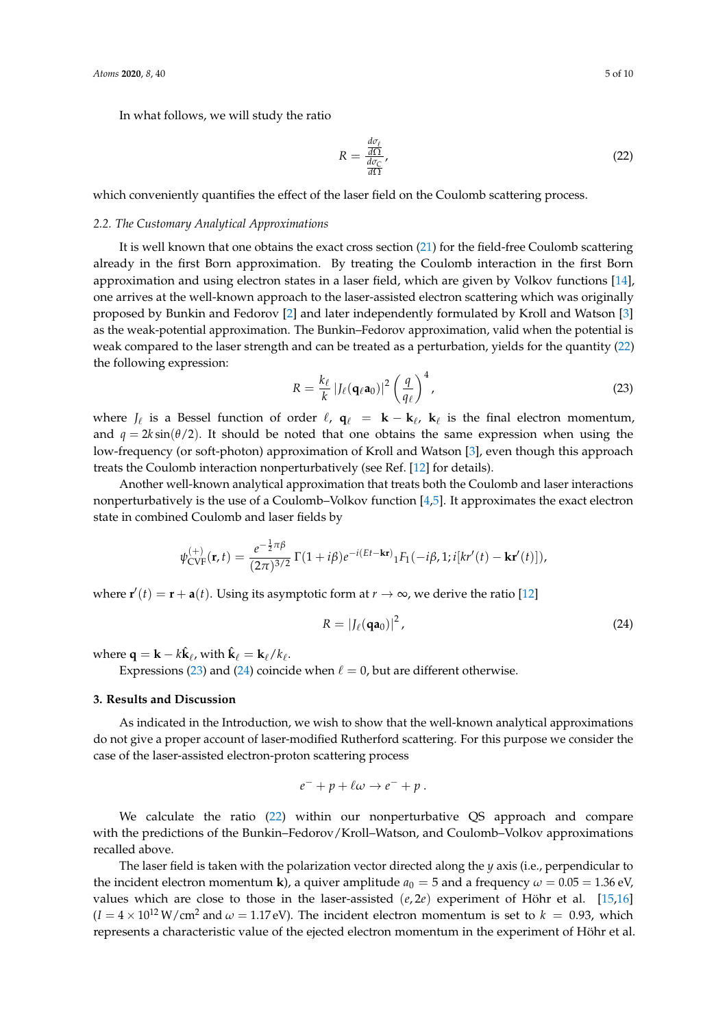In what follows, we will study the ratio

<span id="page-4-1"></span>
$$
R = \frac{\frac{d\sigma_{\ell}}{d\Omega}}{\frac{d\sigma_{\mathcal{C}}}{d\Omega}},\tag{22}
$$

which conveniently quantifies the effect of the laser field on the Coulomb scattering process.

#### *2.2. The Customary Analytical Approximations*

It is well known that one obtains the exact cross section [\(21\)](#page-3-0) for the field-free Coulomb scattering already in the first Born approximation. By treating the Coulomb interaction in the first Born approximation and using electron states in a laser field, which are given by Volkov functions [\[14\]](#page-9-4), one arrives at the well-known approach to the laser-assisted electron scattering which was originally proposed by Bunkin and Fedorov [\[2\]](#page-8-1) and later independently formulated by Kroll and Watson [\[3\]](#page-8-2) as the weak-potential approximation. The Bunkin–Fedorov approximation, valid when the potential is weak compared to the laser strength and can be treated as a perturbation, yields for the quantity [\(22\)](#page-4-1) the following expression:

<span id="page-4-2"></span>
$$
R = \frac{k_{\ell}}{k} |J_{\ell}(\mathbf{q}_{\ell} \mathbf{a}_0)|^2 \left(\frac{q}{q_{\ell}}\right)^4,\tag{23}
$$

where  $J_{\ell}$  is a Bessel function of order  $\ell$ ,  $\mathbf{q}_{\ell} = \mathbf{k} - \mathbf{k}_{\ell}$ ,  $\mathbf{k}_{\ell}$  is the final electron momentum, and  $q = 2k \sin(\theta/2)$ . It should be noted that one obtains the same expression when using the low-frequency (or soft-photon) approximation of Kroll and Watson [\[3\]](#page-8-2), even though this approach treats the Coulomb interaction nonperturbatively (see Ref. [\[12\]](#page-9-2) for details).

Another well-known analytical approximation that treats both the Coulomb and laser interactions nonperturbatively is the use of a Coulomb–Volkov function [\[4,](#page-8-3)[5\]](#page-8-4). It approximates the exact electron state in combined Coulomb and laser fields by

$$
\psi_{\text{CVF}}^{(+)}(\mathbf{r},t) = \frac{e^{-\frac{1}{2}\pi\beta}}{(2\pi)^{3/2}} \Gamma(1+i\beta) e^{-i(Et-\mathbf{kr})} {}_{1}F_{1}(-i\beta,1;i[kr'(t)-\mathbf{kr}'(t)]),
$$

where  $\mathbf{r}'(t) = \mathbf{r} + \mathbf{a}(t)$ . Using its asymptotic form at  $r \to \infty$ , we derive the ratio [\[12\]](#page-9-2)

<span id="page-4-3"></span>
$$
R = |J_{\ell}(\mathbf{qa}_0)|^2, \tag{24}
$$

where  $\mathbf{q} = \mathbf{k} - k\hat{\mathbf{k}}_{\ell}$ , with  $\hat{\mathbf{k}}_{\ell} = \mathbf{k}_{\ell}/k_{\ell}$ .

Expressions [\(23\)](#page-4-2) and [\(24\)](#page-4-3) coincide when  $\ell = 0$ , but are different otherwise.

#### <span id="page-4-0"></span>**3. Results and Discussion**

As indicated in the Introduction, we wish to show that the well-known analytical approximations do not give a proper account of laser-modified Rutherford scattering. For this purpose we consider the case of the laser-assisted electron-proton scattering process

$$
e^- + p + \ell \omega \to e^- + p \ .
$$

We calculate the ratio [\(22\)](#page-4-1) within our nonperturbative QS approach and compare with the predictions of the Bunkin–Fedorov/Kroll–Watson, and Coulomb–Volkov approximations recalled above.

The laser field is taken with the polarization vector directed along the *y* axis (i.e., perpendicular to the incident electron momentum **k**), a quiver amplitude  $a_0 = 5$  and a frequency  $\omega = 0.05 = 1.36$  eV, values which are close to those in the laser-assisted  $(e, 2e)$  experiment of Höhr et al. [\[15](#page-9-5)[,16\]](#page-9-6)  $(I = 4 \times 10^{12} \,\text{W/cm}^2$  and  $\omega = 1.17 \,\text{eV}$ ). The incident electron momentum is set to  $k = 0.93$ , which represents a characteristic value of the ejected electron momentum in the experiment of Höhr et al.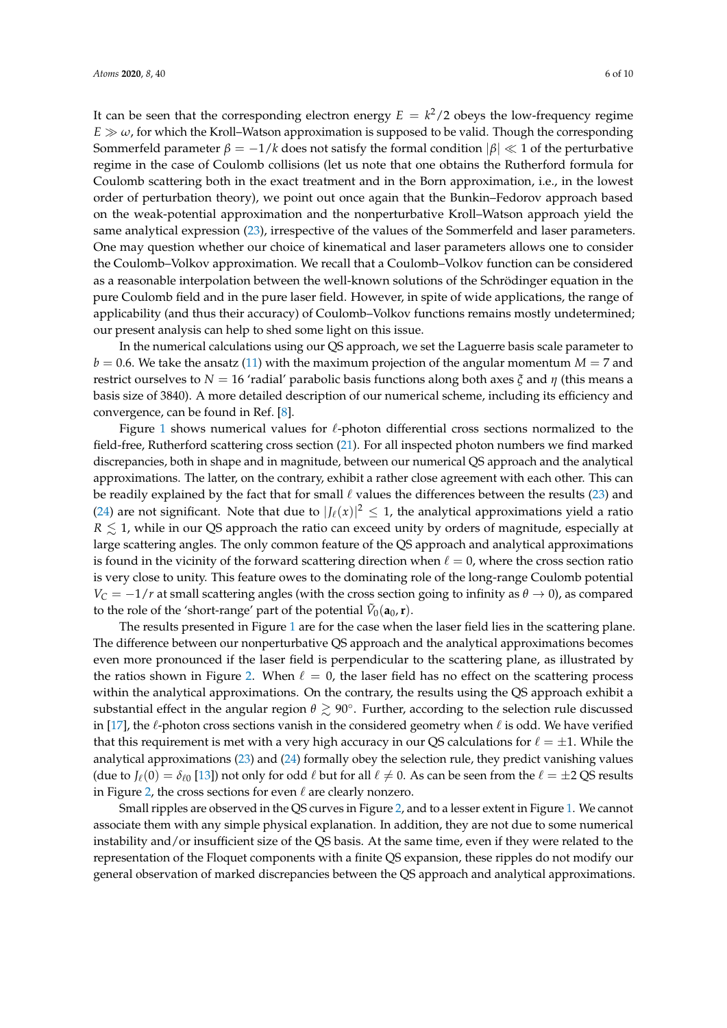It can be seen that the corresponding electron energy  $E = k^2/2$  obeys the low-frequency regime  $E \gg \omega$ , for which the Kroll–Watson approximation is supposed to be valid. Though the corresponding Sommerfeld parameter  $β = -1/k$  does not satisfy the formal condition  $β \nless 1$  of the perturbative regime in the case of Coulomb collisions (let us note that one obtains the Rutherford formula for Coulomb scattering both in the exact treatment and in the Born approximation, i.e., in the lowest order of perturbation theory), we point out once again that the Bunkin–Fedorov approach based on the weak-potential approximation and the nonperturbative Kroll–Watson approach yield the same analytical expression [\(23\)](#page-4-2), irrespective of the values of the Sommerfeld and laser parameters. One may question whether our choice of kinematical and laser parameters allows one to consider the Coulomb–Volkov approximation. We recall that a Coulomb–Volkov function can be considered as a reasonable interpolation between the well-known solutions of the Schrödinger equation in the pure Coulomb field and in the pure laser field. However, in spite of wide applications, the range of applicability (and thus their accuracy) of Coulomb–Volkov functions remains mostly undetermined;

In the numerical calculations using our QS approach, we set the Laguerre basis scale parameter to  $b = 0.6$ . We take the ansatz [\(11\)](#page-2-2) with the maximum projection of the angular momentum  $M = 7$  and restrict ourselves to *N* = 16 'radial' parabolic basis functions along both axes *ξ* and *η* (this means a basis size of 3840). A more detailed description of our numerical scheme, including its efficiency and convergence, can be found in Ref. [\[8\]](#page-8-7).

our present analysis can help to shed some light on this issue.

Figure [1](#page-6-0) shows numerical values for  $\ell$ -photon differential cross sections normalized to the field-free, Rutherford scattering cross section [\(21\)](#page-3-0). For all inspected photon numbers we find marked discrepancies, both in shape and in magnitude, between our numerical QS approach and the analytical approximations. The latter, on the contrary, exhibit a rather close agreement with each other. This can be readily explained by the fact that for small  $\ell$  values the differences between the results [\(23\)](#page-4-2) and [\(24\)](#page-4-3) are not significant. Note that due to  $|J_{\ell}(x)|^2 \leq 1$ , the analytical approximations yield a ratio  $R \lesssim 1$ , while in our QS approach the ratio can exceed unity by orders of magnitude, especially at large scattering angles. The only common feature of the QS approach and analytical approximations is found in the vicinity of the forward scattering direction when  $\ell = 0$ , where the cross section ratio is very close to unity. This feature owes to the dominating role of the long-range Coulomb potential  $V_C = -1/r$  at small scattering angles (with the cross section going to infinity as  $\theta \to 0$ ), as compared to the role of the 'short-range' part of the potential  $\tilde{V}_0(\mathbf{a}_0,\mathbf{r})$ .

The results presented in Figure [1](#page-6-0) are for the case when the laser field lies in the scattering plane. The difference between our nonperturbative QS approach and the analytical approximations becomes even more pronounced if the laser field is perpendicular to the scattering plane, as illustrated by the ratios shown in Figure [2.](#page-7-1) When  $\ell = 0$ , the laser field has no effect on the scattering process within the analytical approximations. On the contrary, the results using the QS approach exhibit a substantial effect in the angular region  $\theta \gtrsim 90^\circ$ . Further, according to the selection rule discussed in [\[17\]](#page-9-7), the  $\ell$ -photon cross sections vanish in the considered geometry when  $\ell$  is odd. We have verified that this requirement is met with a very high accuracy in our QS calculations for  $\ell = \pm 1$ . While the analytical approximations [\(23\)](#page-4-2) and [\(24\)](#page-4-3) formally obey the selection rule, they predict vanishing values (due to  $J_\ell(0) = \delta_{\ell 0}$  [\[13\]](#page-9-3)) not only for odd  $\ell$  but for all  $\ell \neq 0$ . As can be seen from the  $\ell = \pm 2$  QS results in Figure [2,](#page-7-1) the cross sections for even  $\ell$  are clearly nonzero.

Small ripples are observed in the QS curves in Figure [2,](#page-7-1) and to a lesser extent in Figure [1.](#page-6-0) We cannot associate them with any simple physical explanation. In addition, they are not due to some numerical instability and/or insufficient size of the QS basis. At the same time, even if they were related to the representation of the Floquet components with a finite QS expansion, these ripples do not modify our general observation of marked discrepancies between the QS approach and analytical approximations.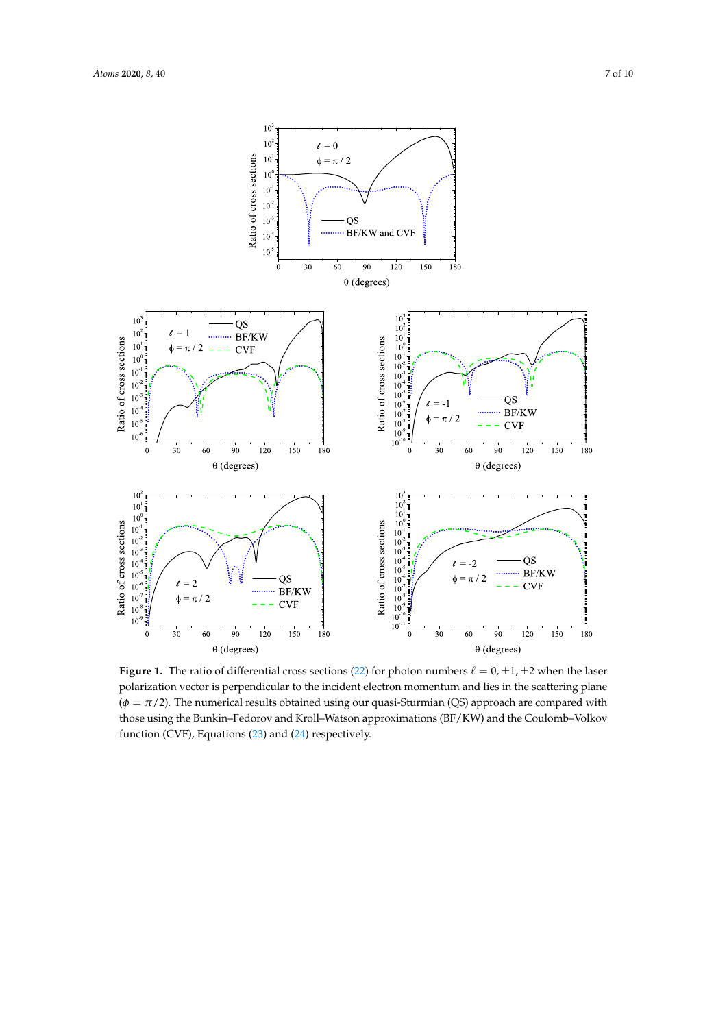<span id="page-6-0"></span>

**Figure 1.** The ratio of differential cross sections [\(22\)](#page-4-1) for photon numbers  $\ell = 0, \pm 1, \pm 2$  when the laser polarization vector is perpendicular to the incident electron momentum and lies in the scattering plane  $(\phi = \pi/2)$ . The numerical results obtained using our quasi-Sturmian (QS) approach are compared with those using the Bunkin–Fedorov and Kroll–Watson approximations (BF/KW) and the Coulomb–Volkov function (CVF), Equations [\(23\)](#page-4-2) and [\(24\)](#page-4-3) respectively.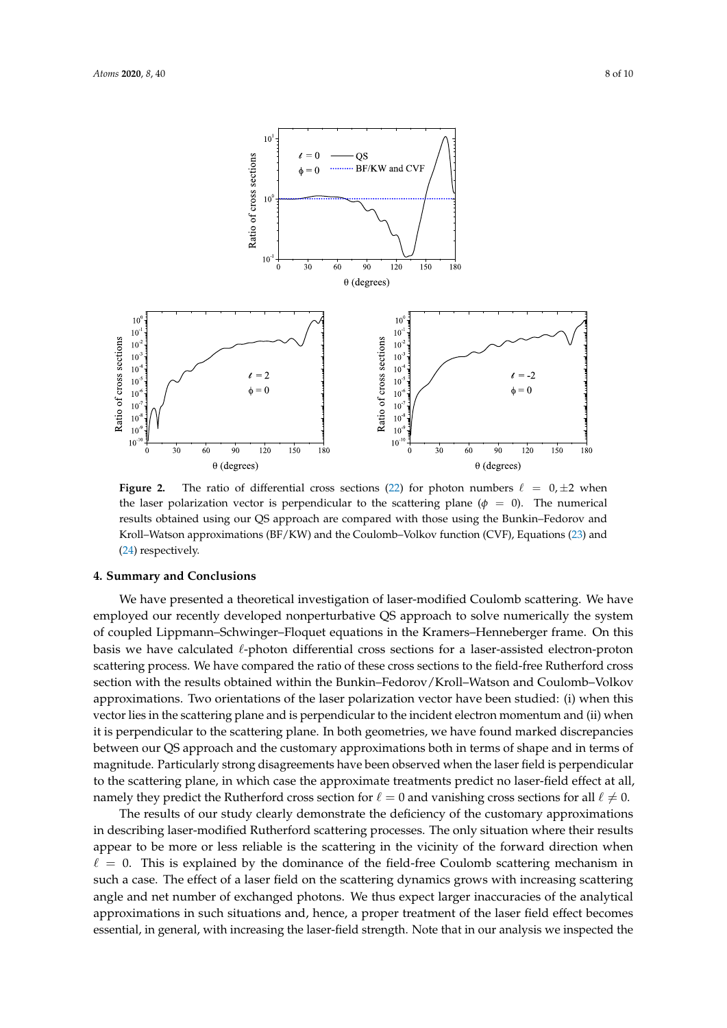<span id="page-7-1"></span>

**Figure 2.** The ratio of differential cross sections [\(22\)](#page-4-1) for photon numbers  $\ell = 0, \pm 2$  when the laser polarization vector is perpendicular to the scattering plane ( $\phi = 0$ ). The numerical results obtained using our QS approach are compared with those using the Bunkin–Fedorov and Kroll–Watson approximations (BF/KW) and the Coulomb–Volkov function (CVF), Equations [\(23\)](#page-4-2) and [\(24\)](#page-4-3) respectively.

#### <span id="page-7-0"></span>**4. Summary and Conclusions**

We have presented a theoretical investigation of laser-modified Coulomb scattering. We have employed our recently developed nonperturbative QS approach to solve numerically the system of coupled Lippmann–Schwinger–Floquet equations in the Kramers–Henneberger frame. On this basis we have calculated  $\ell$ -photon differential cross sections for a laser-assisted electron-proton scattering process. We have compared the ratio of these cross sections to the field-free Rutherford cross section with the results obtained within the Bunkin–Fedorov/Kroll–Watson and Coulomb–Volkov approximations. Two orientations of the laser polarization vector have been studied: (i) when this vector lies in the scattering plane and is perpendicular to the incident electron momentum and (ii) when it is perpendicular to the scattering plane. In both geometries, we have found marked discrepancies between our QS approach and the customary approximations both in terms of shape and in terms of magnitude. Particularly strong disagreements have been observed when the laser field is perpendicular to the scattering plane, in which case the approximate treatments predict no laser-field effect at all, namely they predict the Rutherford cross section for  $\ell = 0$  and vanishing cross sections for all  $\ell \neq 0$ .

The results of our study clearly demonstrate the deficiency of the customary approximations in describing laser-modified Rutherford scattering processes. The only situation where their results appear to be more or less reliable is the scattering in the vicinity of the forward direction when  $\ell = 0$ . This is explained by the dominance of the field-free Coulomb scattering mechanism in such a case. The effect of a laser field on the scattering dynamics grows with increasing scattering angle and net number of exchanged photons. We thus expect larger inaccuracies of the analytical approximations in such situations and, hence, a proper treatment of the laser field effect becomes essential, in general, with increasing the laser-field strength. Note that in our analysis we inspected the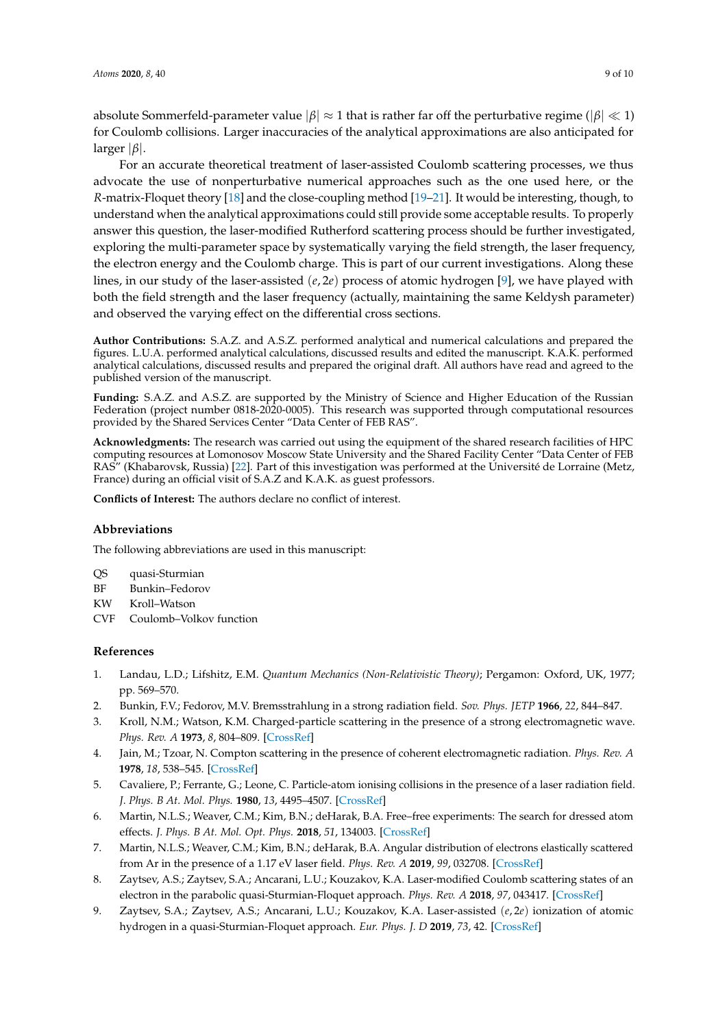absolute Sommerfeld-parameter value  $|\beta| \approx 1$  that is rather far off the perturbative regime ( $|\beta| \ll 1$ ) for Coulomb collisions. Larger inaccuracies of the analytical approximations are also anticipated for larger |*β*|.

For an accurate theoretical treatment of laser-assisted Coulomb scattering processes, we thus advocate the use of nonperturbative numerical approaches such as the one used here, or the *R*-matrix-Floquet theory [\[18\]](#page-9-8) and the close-coupling method [\[19–](#page-9-9)[21\]](#page-9-10). It would be interesting, though, to understand when the analytical approximations could still provide some acceptable results. To properly answer this question, the laser-modified Rutherford scattering process should be further investigated, exploring the multi-parameter space by systematically varying the field strength, the laser frequency, the electron energy and the Coulomb charge. This is part of our current investigations. Along these lines, in our study of the laser-assisted (*e*, 2*e*) process of atomic hydrogen [\[9\]](#page-8-8), we have played with both the field strength and the laser frequency (actually, maintaining the same Keldysh parameter) and observed the varying effect on the differential cross sections.

**Author Contributions:** S.A.Z. and A.S.Z. performed analytical and numerical calculations and prepared the figures. L.U.A. performed analytical calculations, discussed results and edited the manuscript. K.A.K. performed analytical calculations, discussed results and prepared the original draft. All authors have read and agreed to the published version of the manuscript.

**Funding:** S.A.Z. and A.S.Z. are supported by the Ministry of Science and Higher Education of the Russian Federation (project number 0818-2020-0005). This research was supported through computational resources provided by the Shared Services Center "Data Center of FEB RAS".

**Acknowledgments:** The research was carried out using the equipment of the shared research facilities of HPC computing resources at Lomonosov Moscow State University and the Shared Facility Center "Data Center of FEB RAS" (Khabarovsk, Russia) [\[22\]](#page-9-11). Part of this investigation was performed at the Université de Lorraine (Metz, France) during an official visit of S.A.Z and K.A.K. as guest professors.

**Conflicts of Interest:** The authors declare no conflict of interest.

## **Abbreviations**

The following abbreviations are used in this manuscript:

- QS quasi-Sturmian
- BF Bunkin–Fedorov
- KW Kroll–Watson
- CVF Coulomb–Volkov function

## **References**

- <span id="page-8-0"></span>1. Landau, L.D.; Lifshitz, E.M. *Quantum Mechanics (Non-Relativistic Theory)*; Pergamon: Oxford, UK, 1977; pp. 569–570.
- <span id="page-8-1"></span>2. Bunkin, F.V.; Fedorov, M.V. Bremsstrahlung in a strong radiation field. *Sov. Phys. JETP* **1966**, *22*, 844–847.
- <span id="page-8-2"></span>3. Kroll, N.M.; Watson, K.M. Charged-particle scattering in the presence of a strong electromagnetic wave. *Phys. Rev. A* **1973**, *8*, 804–809. [\[CrossRef\]](http://dx.doi.org/10.1103/PhysRevA.8.804)
- <span id="page-8-3"></span>4. Jain, M.; Tzoar, N. Compton scattering in the presence of coherent electromagnetic radiation. *Phys. Rev. A* **1978**, *18*, 538–545. [\[CrossRef\]](http://dx.doi.org/10.1103/PhysRevA.18.538)
- <span id="page-8-4"></span>5. Cavaliere, P.; Ferrante, G.; Leone, C. Particle-atom ionising collisions in the presence of a laser radiation field. *J. Phys. B At. Mol. Phys.* **1980**, *13*, 4495–4507. [\[CrossRef\]](http://dx.doi.org/10.1088/0022-3700/13/22/021)
- <span id="page-8-5"></span>6. Martin, N.L.S.; Weaver, C.M.; Kim, B.N.; deHarak, B.A. Free–free experiments: The search for dressed atom effects. *J. Phys. B At. Mol. Opt. Phys.* **2018**, *51*, 134003. [\[CrossRef\]](http://dx.doi.org/10.1088/0022-3700/13/22/021)
- <span id="page-8-6"></span>7. Martin, N.L.S.; Weaver, C.M.; Kim, B.N.; deHarak, B.A. Angular distribution of electrons elastically scattered from Ar in the presence of a 1.17 eV laser field. *Phys. Rev. A* **2019**, *99*, 032708. [\[CrossRef\]](http://dx.doi.org/10.1088/1361-6455/aac31b)
- <span id="page-8-7"></span>8. Zaytsev, A.S.; Zaytsev, S.A.; Ancarani, L.U.; Kouzakov, K.A. Laser-modified Coulomb scattering states of an electron in the parabolic quasi-Sturmian-Floquet approach. *Phys. Rev. A* **2018**, *97*, 043417. [\[CrossRef\]](http://dx.doi.org/10.1103/PhysRevA.99.032708)
- <span id="page-8-8"></span>9. Zaytsev, S.A.; Zaytsev, A.S.; Ancarani, L.U.; Kouzakov, K.A. Laser-assisted (*e*, 2*e*) ionization of atomic hydrogen in a quasi-Sturmian-Floquet approach. *Eur. Phys. J. D* **2019**, *73*, 42. [\[CrossRef\]](http://dx.doi.org/10.1103/PhysRevA.97.043417)